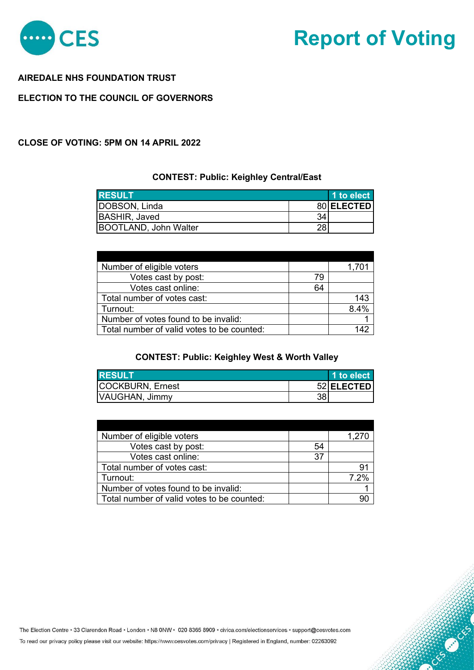

# **Report of Voting**

#### **AIREDALE NHS FOUNDATION TRUST**

## **ELECTION TO THE COUNCIL OF GOVERNORS**

#### **CLOSE OF VOTING: 5PM ON 14 APRIL 2022**

#### **CONTEST: Public: Keighley Central/East**

| <b>RESULT</b>         |    | 1 to elect |
|-----------------------|----|------------|
| DOBSON, Linda         |    | 80 ELECTED |
| BASHIR, Javed         | 34 |            |
| BOOTLAND, John Walter | 28 |            |

| Number of eligible voters                  |    |     |
|--------------------------------------------|----|-----|
| Votes cast by post:                        | 79 |     |
| Votes cast online:                         | 64 |     |
| Total number of votes cast:                |    | 143 |
| Turnout:                                   |    | 84% |
| Number of votes found to be invalid:       |    |     |
| Total number of valid votes to be counted: |    |     |

#### **CONTEST: Public: Keighley West & Worth Valley**

| <b>IRESULT</b>          |    | 1 to elect |
|-------------------------|----|------------|
| <b>COCKBURN, Ernest</b> |    | 52 ELECTED |
| VAUGHAN, Jimmy          | 38 |            |

| Number of eligible voters                  |    | 1,270 |
|--------------------------------------------|----|-------|
| Votes cast by post:                        | 54 |       |
| Votes cast online:                         | 37 |       |
| Total number of votes cast:                |    | 91    |
| Turnout:                                   |    | 7.2%  |
| Number of votes found to be invalid:       |    |       |
| Total number of valid votes to be counted: |    | 90    |

The Election Centre · 33 Clarendon Road · London · N8 0NW · 020 8365 8909 · civica.com/electionservices · support@cesvotes.com

To read our privacy policy please visit our website: https://www.cesvotes.com/privacy | Registered in England, number: 02263092

CENSIONS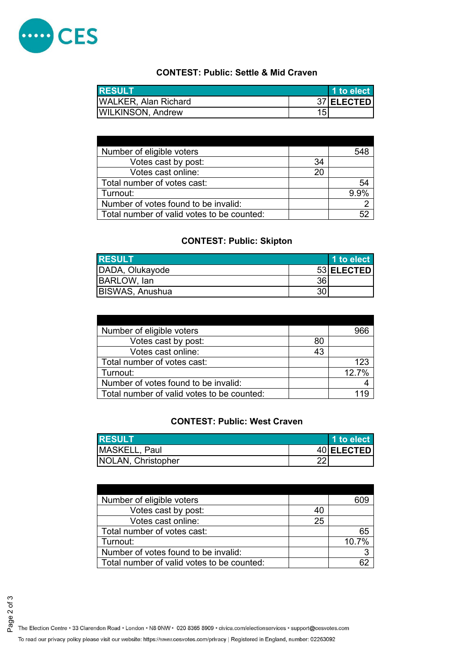

# **CONTEST: Public: Settle & Mid Craven**

| <b>I</b> RESULT             |     | 1 to elect |
|-----------------------------|-----|------------|
| <b>WALKER, Alan Richard</b> |     | 37 ELECTED |
| WILKINSON, Andrew           | 15. |            |

| Number of eligible voters                  |    |      |
|--------------------------------------------|----|------|
| Votes cast by post:                        | 34 |      |
| Votes cast online:                         | 20 |      |
| Total number of votes cast:                |    | 54   |
| Turnout:                                   |    | 9.9% |
| Number of votes found to be invalid:       |    |      |
| Total number of valid votes to be counted: |    |      |

# **CONTEST: Public: Skipton**

| <b>RESULT</b>          |    | 1 to elect |
|------------------------|----|------------|
| DADA, Olukayode        |    | 53 ELECTED |
| BARLOW, lan            | 36 |            |
| <b>BISWAS, Anushua</b> | 30 |            |

| Number of eligible voters                  |    |      |
|--------------------------------------------|----|------|
| Votes cast by post:                        | 80 |      |
| Votes cast online:                         | 43 |      |
| Total number of votes cast:                |    | 123  |
| Turnout:                                   |    | 127% |
| Number of votes found to be invalid:       |    |      |
| Total number of valid votes to be counted: |    |      |

## **CONTEST: Public: West Craven**

| <b>IRESULT</b>            | 1 to elect |
|---------------------------|------------|
| MASKELL, Paul             | 40 ELECTED |
| <b>NOLAN, Christopher</b> |            |

| Number of eligible voters                  |    |       |
|--------------------------------------------|----|-------|
| Votes cast by post:                        | 40 |       |
| Votes cast online:                         | 25 |       |
| Total number of votes cast:                |    | 65    |
| Turnout:                                   |    | 10.7% |
| Number of votes found to be invalid:       |    |       |
| Total number of valid votes to be counted: |    |       |